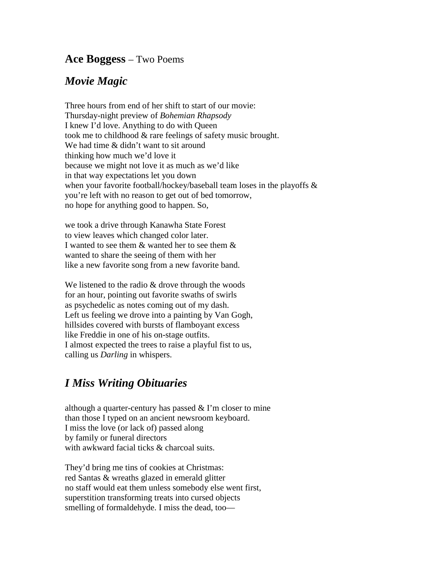## **Ace Boggess** – Two Poems

## *Movie Magic*

Three hours from end of her shift to start of our movie: Thursday-night preview of *Bohemian Rhapsody* I knew I'd love. Anything to do with Queen took me to childhood & rare feelings of safety music brought. We had time & didn't want to sit around thinking how much we'd love it because we might not love it as much as we'd like in that way expectations let you down when your favorite football/hockey/baseball team loses in the playoffs & you're left with no reason to get out of bed tomorrow, no hope for anything good to happen. So,

we took a drive through Kanawha State Forest to view leaves which changed color later. I wanted to see them & wanted her to see them & wanted to share the seeing of them with her like a new favorite song from a new favorite band.

We listened to the radio  $&$  drove through the woods for an hour, pointing out favorite swaths of swirls as psychedelic as notes coming out of my dash. Left us feeling we drove into a painting by Van Gogh, hillsides covered with bursts of flamboyant excess like Freddie in one of his on-stage outfits. I almost expected the trees to raise a playful fist to us, calling us *Darling* in whispers.

## *I Miss Writing Obituaries*

although a quarter-century has passed  $& \Gamma$  m closer to mine than those I typed on an ancient newsroom keyboard. I miss the love (or lack of) passed along by family or funeral directors with awkward facial ticks & charcoal suits.

They'd bring me tins of cookies at Christmas: red Santas & wreaths glazed in emerald glitter no staff would eat them unless somebody else went first, superstition transforming treats into cursed objects smelling of formaldehyde. I miss the dead, too